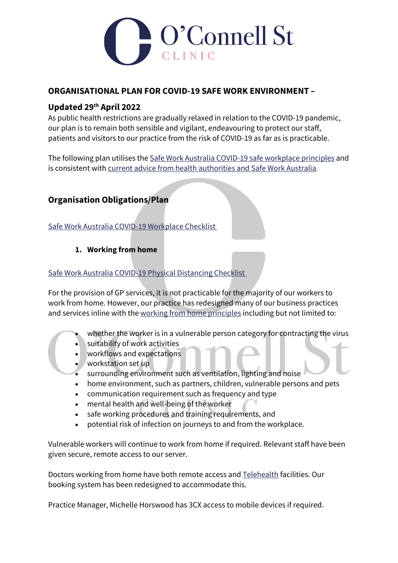

### **ORGANISATIONAL PLAN FOR COVID-19 SAFE WORK ENVIRONMENT –**

## **Updated 29th April 2022**

As public health restrictions are gradually relaxed in relation to the COVID-19 pandemic, our plan is to remain both sensible and vigilant, endeavouring to protect our staff, patients and visitors to our practice from the risk of COVID-19 as far as is practicable.

The following plan utilises the Safe Work Australia COVID-19 [safe workplace principles](https://www.safeworkaustralia.gov.au/covid-19-information-workplaces/other-resources/national-covid-19-safe-workplace-principles) and is consistent with current advice from health [authorities](https://www.safeworkaustralia.gov.au/sites/default/files/2020-04/how_to_keep_workers_safe_covid-19.pdf) and Safe Work Australia.

# **Organisation Obligations/Plan**

Safe Work Australia COVID-19 [Workplace](https://www.safeworkaustralia.gov.au/sites/default/files/2020-05/COVID-19_Workplace-Checklist.pdf) Checklist

### **1. Working from home**

#### Safe Work Australia COVID-19 Physical [Distancing](https://www.safeworkaustralia.gov.au/sites/default/files/2020-04/COVID-19-Physical-Distancing-Checklist.pdf) Checklist

For the provision of GP services, it is not practicable for the majority of our workers to work from home. However, our practice has redesigned many of our business practices and services inline with the working from home [principles](https://www.safeworkaustralia.gov.au/covid-19-information-workplaces/industry-information/general-industry-information/working-home) including but not limited to:

- whether the worker is in a vulnerable person category for contracting the virus
- suitability of work activities
- workflows and expectations
- workstation set up
- surrounding environment such as ventilation, lighting and noise
- home environment, such as partners, children, vulnerable persons and pets
- communication requirement such as frequency and type
- mental health and well-being of the worker
- safe working procedures and training requirements, and
- potential risk of infection on journeys to and from the workplace.

Vulnerable workers will continue to work from home if required. Relevant staff have been given secure, remote access to our server.

Doctors working from home have both remote access and [Telehealth](https://ocnlst.com.au/telehealth/) facilities. Our booking system has been redesigned to accommodate this.

Practice Manager, Michelle Horswood has 3CX access to mobile devices if required.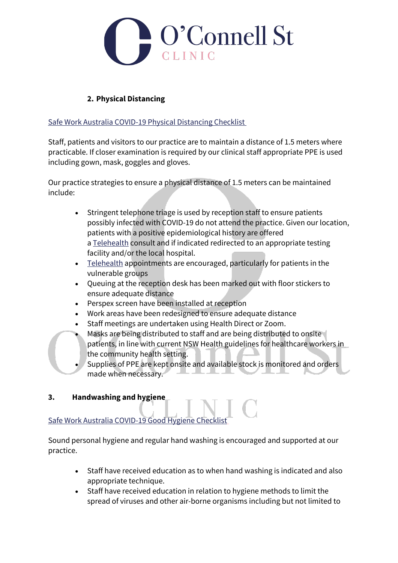

## **2. Physical Distancing**

#### Safe Work Australia COVID-19 Physical [Distancing](https://www.safeworkaustralia.gov.au/sites/default/files/2020-04/COVID-19-Physical-Distancing-Checklist.pdf) Checklist

Staff, patients and visitors to our practice are to maintain a distance of 1.5 meters where practicable. If closer examination is required by our clinical staff appropriate PPE is used including gown, mask, goggles and gloves.

Our practice strategies to ensure a physical distance of 1.5 meters can be maintained include:

- Stringent telephone triage is used by reception staff to ensure patients possibly infected with COVID-19 do not attend the practice. Given our location, patients with a positive epidemiological history are offered a [Telehealth](https://ocnlst.com.au/telehealth/) consult and if indicated redirected to an appropriate testing facility and/or the local hospital.
- [Telehealth](https://ocnlst.com.au/telehealth/) appointments are encouraged, particularly for patients in the vulnerable groups
- Queuing at the reception desk has been marked out with floor stickers to ensure adequate distance
- Perspex screen have been installed at reception
- Work areas have been redesigned to ensure adequate distance
- Staff meetings are undertaken using Health Direct or Zoom.
- Masks are being distributed to staff and are being distributed to onsite patients, in line with current NSW Health guidelines for healthcare workers in the community health setting.
- Supplies of PPE are kept onsite and available stock is monitored and orders made when necessary.

### **3. Handwashing and hygiene**

## Safe Work Australia [COVID-19](https://www.safeworkaustralia.gov.au/sites/default/files/2020-04/COVID-19-Good-Hygiene-Checklist.pdf) Good Hygiene Checklist

Sound personal hygiene and regular hand washing is encouraged and supported at our practice.

- Staff have received education as to when hand washing is indicated and also appropriate technique.
- Staff have received education in relation to hygiene methods to limit the spread of viruses and other air-borne organisms including but not limited to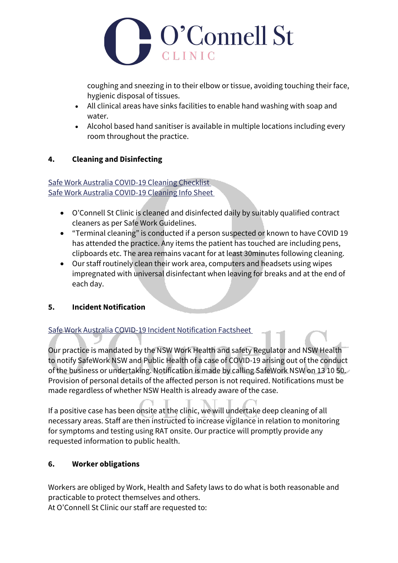

coughing and sneezing in to their elbow or tissue, avoiding touching their face, hygienic disposal of tissues.

- All clinical areas have sinks facilities to enable hand washing with soap and water.
- Alcohol based hand sanitiser is available in multiple locations including every room throughout the practice.

### **4. Cleaning and Disinfecting**

Safe Work Australia [COVID-19](https://www.safeworkaustralia.gov.au/sites/default/files/2020-05/COVID-19_Cleaning-Checklist_26May2020.pdf) Cleaning Checklist Safe Work Australia [COVID-19](https://www.safeworkaustralia.gov.au/sites/default/files/2020-05/COVID-and-Cleaning-info-sheet_26May2020_0.pdf) Cleaning Info Sheet

- O'Connell St Clinic is cleaned and disinfected daily by suitably qualified contract cleaners as per Safe Work Guidelines.
- "Terminal cleaning" is conducted if a person suspected or known to have COVID 19 has attended the practice. Any items the patient has touched are including pens, clipboards etc. The area remains vacant for at least 30minutes following cleaning.
- Our staff routinely clean their work area, computers and headsets using wipes impregnated with universal disinfectant when leaving for breaks and at the end of each day.

### **5. Incident Notification**

### Safe Work Australia COVID-19 Incident [Notification](https://www.safeworkaustralia.gov.au/sites/default/files/2020-05/Incident_notification_fact-sheet_COVID19_26_May2020.pdf) Factsheet

Our practice is mandated by the NSW Work Health and safety Regulator and NSW Health to notify SafeWork NSW and Public Health of a case of COVID-19 arising out of the conduct of the business or undertaking. Notification is made by calling SafeWork NSW on 13 10 50. Provision of personal details of the affected person is not required. Notifications must be made regardless of whether NSW Health is already aware of the case.

If a positive case has been onsite at the clinic, we will undertake deep cleaning of all necessary areas. Staff are then instructed to increase vigilance in relation to monitoring for symptoms and testing using RAT onsite. Our practice will promptly provide any requested information to public health.

### **6. Worker obligations**

Workers are obliged by Work, Health and Safety laws to do what is both reasonable and practicable to protect themselves and others.

At O'Connell St Clinic our staff are requested to: